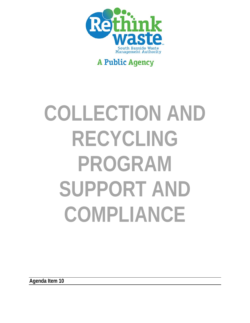

# **A Public Agency**

# **COLLECTION AND RECYCLING PROGRAM SUPPORT AND COMPLIANCE**

**Agenda Item 10**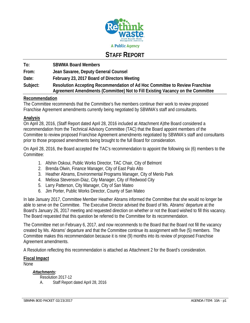

## **STAFF REPORT**

**To: SBWMA Board Members From: Jean Savaree, Deputy General Counsel Date: February 23, 2017 Board of Directors Meeting Subject: Resolution Accepting Recommendation of Ad Hoc Committee to Review Franchise Agreement Amendments (Committee) Not to Fill Existing Vacancy on the Committee** 

#### **Recommendation**

The Committee recommends that the Committee's five members continue their work to review proposed Franchise Agreement amendments currently being negotiated by SBWMA's staff and consultants.

#### **Analysis**

On April 28, 2016, (Staff Report dated April 28, 2016 included at Attachment A)the Board considered a recommendation from the Technical Advisory Committee (TAC) that the Board appoint members of the Committee to review proposed Franchise Agreement amendments negotiated by SBWMA's staff and consultants prior to those proposed amendments being brought to the full Board for consideration.

On April 28, 2016, the Board accepted the TAC's recommendation to appoint the following six (6) members to the Committee:

- 1. Afshin Oskoui, Public Works Director, TAC Chair, City of Belmont
- 2. Brenda Olwin, Finance Manager, City of East Palo Alto
- 3. Heather Abrams, Environmental Programs Manager, City of Menlo Park
- 4. Melissa Stevenson-Diaz, City Manager, City of Redwood City
- 5. Larry Patterson, City Manager, City of San Mateo
- 6. Jim Porter, Public Works Director, County of San Mateo

In late January 2017, Committee Member Heather Abrams informed the Committee that she would no longer be able to serve on the Committee. The Executive Director advised the Board of Ms. Abrams' departure at the Board's January 26, 2017 meeting and requested direction on whether or not the Board wished to fill this vacancy. The Board requested that this question be referred to the Committee for its recommendation.

The Committee met on February 6, 2017, and now recommends to the Board that the Board not fill the vacancy created by Ms. Abrams' departure and that the Committee continue its assignment with five (5) members. The Committee makes this recommendation because it is nine (9) months into its review of proposed Franchise Agreement amendments.

A Resolution reflecting this recommendation is attached as Attachment 2 for the Board's consideration.

#### **Fiscal Impact**

None

*Attachments:* 

Resolution 2017-12 A. Staff Report dated April 28, 2016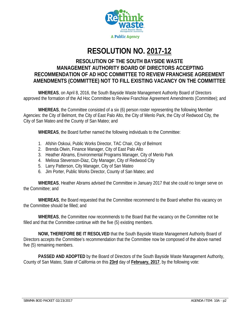

# **RESOLUTION NO. 2017-12**

## **RESOLUTION OF THE SOUTH BAYSIDE WASTE MANAGEMENT AUTHORITY BOARD OF DIRECTORS ACCEPTING RECOMMENDATION OF AD HOC COMMITTEE TO REVIEW FRANCHISE AGREEMENT AMENDMENTS (COMMITTEE) NOT TO FILL EXISTING VACANCY ON THE COMMITTEE**

**WHEREAS**, on April 8, 2016, the South Bayside Waste Management Authority Board of Directors approved the formation of the Ad Hoc Committee to Review Franchise Agreement Amendments (Committee); and

**WHEREAS**, the Committee consisted of a six (6) person roster representing the following Member Agencies: the City of Belmont, the City of East Palo Alto, the City of Menlo Park, the City of Redwood City, the City of San Mateo and the County of San Mateo; and

**WHEREAS**, the Board further named the following individuals to the Committee:

- 1. Afshin Oskoui, Public Works Director, TAC Chair, City of Belmont
- 2. Brenda Olwin, Finance Manager, City of East Palo Alto
- 3. Heather Abrams, Environmental Programs Manager, City of Menlo Park
- 4. Melissa Stevenson-Diaz, City Manager, City of Redwood City
- 5. Larry Patterson, City Manager, City of San Mateo
- 6. Jim Porter, Public Works Director, County of San Mateo; and

**WHEREAS**, Heather Abrams advised the Committee in January 2017 that she could no longer serve on the Committee; and

**WHEREAS**, the Board requested that the Committee recommend to the Board whether this vacancy on the Committee should be filled; and

**WHEREAS**, the Committee now recommends to the Board that the vacancy on the Committee not be filled and that the Committee continue with the five (5) existing members.

**NOW, THEREFORE BE IT RESOLVED** that the South Bayside Waste Management Authority Board of Directors accepts the Committee's recommendation that the Committee now be composed of the above named five (5) remaining members.

**PASSED AND ADOPTED** by the Board of Directors of the South Bayside Waste Management Authority, County of San Mateo, State of California on this **23rd** day of **February, 2017**, by the following vote: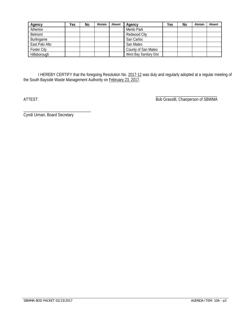| Agency             | Yes | No | Abstain | Absent | Agency                 | Yes | No | Abstain | Absent |
|--------------------|-----|----|---------|--------|------------------------|-----|----|---------|--------|
| Atherton           |     |    |         |        | Menlo Park             |     |    |         |        |
| Belmont            |     |    |         |        | Redwood City           |     |    |         |        |
| Burlingame         |     |    |         |        | San Carlos             |     |    |         |        |
| East Palo Alto     |     |    |         |        | San Mateo              |     |    |         |        |
| <b>Foster City</b> |     |    |         |        | County of San Mateo    |     |    |         |        |
| Hillsborough       |     |    |         |        | West Bay Sanitary Dist |     |    |         |        |

I HEREBY CERTIFY that the foregoing Resolution No. 2017-12 was duly and regularly adopted at a regular meeting of the South Bayside Waste Management Authority on **February 23, 2017.** 

 $\overline{\phantom{a}}$  , and the contract of the contract of the contract of the contract of the contract of the contract of the contract of the contract of the contract of the contract of the contract of the contract of the contrac

ATTEST: Bob Grassilli, Chairperson of SBWMA

Cyndi Urman, Board Secretary

\_\_\_\_\_\_\_\_\_\_\_\_\_\_\_\_\_\_\_\_\_\_\_\_\_\_\_\_\_\_\_\_\_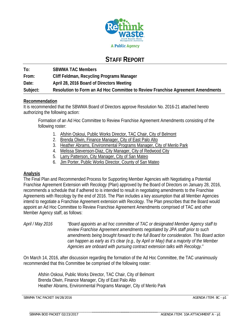

## **STAFF REPORT**

**To: SBWMA TAC Members From: Cliff Feldman, Recycling Programs Manager Date: April 28, 2016 Board of Directors Meeting Subject: Resolution to Form an Ad Hoc Committee to Review Franchise Agreement Amendments** 

#### **Recommendation**

It is recommended that the SBWMA Board of Directors approve Resolution No. 2016-21 attached hereto authorizing the following action:

Formation of an Ad Hoc Committee to Review Franchise Agreement Amendments consisting of the following roster:

- 1. Afshin Oskoui, Public Works Director, TAC Chair, City of Belmont
- 2. Brenda Olwin, Finance Manager, City of East Palo Alto
- 3. Heather Abrams, Environmental Programs Manager, City of Menlo Park
- 4. Melissa Stevenson-Diaz, City Manager, City of Redwood City
- 5. Larry Patterson, City Manager, City of San Mateo
- 6. Jim Porter, Public Works Director, County of San Mateo

#### **Analysis**

The Final Plan and Recommended Process for Supporting Member Agencies with Negotiating a Potential Franchise Agreement Extension with Recology (Plan) approved by the Board of Directors on January 28, 2016, recommends a schedule that if adhered to is intended to result in negotiating amendments to the Franchise Agreements with Recology by the end of 2016. The Plan includes a key assumption that all Member Agencies intend to negotiate a Franchise Agreement extension with Recology. The Plan prescribes that the Board would appoint an Ad Hoc Committee to Review Franchise Agreement Amendments comprised of TAC and other Member Agency staff, as follows:

*April / May 2016 "Board appoints an ad hoc committee of TAC or designated Member Agency staff to review Franchise Agreement amendments negotiated by JPA staff prior to such amendments being brought forward to the full Board for consideration. This Board action can happen as early as it's clear (e.g., by April or May) that a majority of the Member Agencies are onboard with pursuing contract extension talks with Recology."* 

On March 14, 2016, after discussion regarding the formation of the Ad Hoc Committee, the TAC unanimously recommended that this Committee be comprised of the following roster:

Afshin Oskoui, Public Works Director, TAC Chair, City of Belmont Brenda Olwin, Finance Manager, City of East Palo Alto Heather Abrams, Environmental Programs Manager, City of Menlo Park

SBWMA TAC PACKET 04/28/2016 **Agent 2018** AGENDA ITEM: 8C - p1

\_\_\_\_\_\_\_\_\_\_\_\_\_\_\_\_\_\_\_\_\_\_\_\_\_\_\_\_\_\_\_\_\_\_\_\_\_\_\_\_\_\_\_\_\_\_\_\_\_\_\_\_\_\_\_\_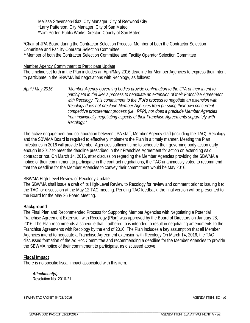Melissa Stevenson-Diaz, City Manager, City of Redwood City \*Larry Patterson, City Manager, City of San Mateo \*\*Jim Porter, Public Works Director, County of San Mateo

\*Chair of JPA Board during the Contractor Selection Process, Member of both the Contractor Selection Committee and Facility Operator Selection Committee \*\*Member of both the Contractor Selection Committee and Facility Operator Selection Committee

#### Member Agency Commitment to Participate Update

The timeline set forth in the Plan includes an April/May 2016 deadline for Member Agencies to express their intent to participate in the SBWMA led negotiations with Recology, as follows:

*April / May 2016 "Member Agency governing bodies provide confirmation to the JPA of their intent to participate in the JPA's process to negotiate an extension of their Franchise Agreement with Recology. This commitment to the JPA's process to negotiate an extension with Recology does not preclude Member Agencies from pursuing their own concurrent competitive procurement process (i.e., RFP), nor does it preclude Member Agencies from individually negotiating aspects of their Franchise Agreements separately with Recology."*

The active engagement and collaboration between JPA staff, Member Agency staff (including the TAC), Recology and the SBWMA Board is required to effectively implement the Plan in a timely manner. Meeting the Plan milestones in 2016 will provide Member Agencies sufficient time to schedule their governing body action early enough in 2017 to meet the deadline prescribed in their Franchise Agreement for action on extending said contract or not. On March 14, 2016, after discussion regarding the Member Agencies providing the SBWMA a notice of their commitment to participate in the contract negotiations, the TAC unanimously voted to recommend that the deadline for the Member Agencies to convey their commitment would be May 2016.

#### **SBWMA High-Level Review of Recology Update**

The SBWMA shall issue a draft of its High-Level Review to Recology for review and comment prior to issuing it to the TAC for discussion at the May 12 TAC meeting. Pending TAC feedback, the final version will be presented to the Board for the May 26 Board Meeting.

#### **Background**

The Final Plan and Recommended Process for Supporting Member Agencies with Negotiating a Potential Franchise Agreement Extension with Recology (Plan) was approved by the Board of Directors on January 28, 2016. The Plan recommends a schedule that if adhered to is intended to result in negotiating amendments to the Franchise Agreements with Recology by the end of 2016. The Plan includes a key assumption that all Member Agencies intend to negotiate a Franchise Agreement extension with Recology.On March 14, 2016, the TAC discussed formation of the Ad Hoc Committee and recommending a deadline for the Member Agencies to provide the SBWMA notice of their commitment to participate, as discussed above.

#### **Fiscal Impact**

There is no specific fiscal impact associated with this item.

\_\_\_\_\_\_\_\_\_\_\_\_\_\_\_\_\_\_\_\_\_\_\_\_\_\_\_\_\_\_\_\_\_\_\_\_\_\_\_\_\_\_\_\_\_\_\_\_\_\_\_\_\_\_\_\_

*Attachment(s):*  Resolution No. 2016-21

SBWMA TAC PACKET 04/28/2016 AGENDA ITEM: 8C - p2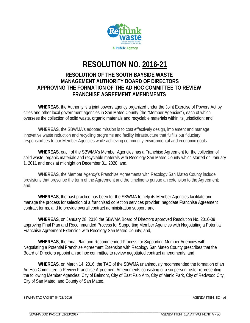

# **RESOLUTION NO. 2016-21**

## **RESOLUTION OF THE SOUTH BAYSIDE WASTE MANAGEMENT AUTHORITY BOARD OF DIRECTORS APPROVING THE FORMATION OF THE AD HOC COMMITTEE TO REVIEW FRANCHISE AGREEMENT AMENDMENTS**

**WHEREAS**, the Authority is a joint powers agency organized under the Joint Exercise of Powers Act by cities and other local government agencies in San Mateo County (the "Member Agencies"), each of which oversees the collection of solid waste, organic materials and recyclable materials within its jurisdiction; and

**WHEREAS**, the SBWMA's adopted mission is to cost effectively design, implement and manage innovative waste reduction and recycling programs and facility infrastructure that fulfills our fiduciary responsibilities to our Member Agencies while achieving community environmental and economic goals.

**WHEREAS**, each of the SBWMA's Member Agencies has a Franchise Agreement for the collection of solid waste, organic materials and recyclable materals with Recology San Mateo County which started on January 1, 2011 and ends at midnight on December 31, 2020; and,

**WHEREAS**, the Member Agency's Franchise Agreements with Recology San Mateo County include provisions that prescribe the term of the Agreement and the timeline to pursue an extension to the Agreement; and,

**WHEREAS**, the past practice has been for the SBWMA to help its Member Agencies facilitate and manage the process for selection of a franchised collection services provider, negotiate Franchise Agreement contract terms, and to provide overall contract administration support; and,

**WHEREAS**, on January 28, 2016 the SBWMA Board of Directors approved Resolution No. 2016-09 approving Final Plan and Recommended Process for Supporting Member Agencies with Negotiating a Potential Franchise Agreement Extension with Recology San Mateo County; and,

**WHEREAS**, the Final Plan and Recommended Process for Supporting Member Agencies with Negotiating a Potential Franchise Agreement Extension with Recology San Mateo County prescribes that the Board of Directors appoint an ad hoc committee to review negotiated contract amendments; and,

**WHEREAS**, on March 14, 2016, the TAC of the SBWMA unanimously recommended the formation of an Ad Hoc Committee to Review Franchise Agreement Amendments consisting of a six person roster representing the following Member Agencies: City of Belmont, City of East Palo Alto, City of Menlo Park, City of Redwood City, City of San Mateo, and County of San Mateo.

SBWMA TAC PACKET 04/28/2016 **Agent 2018** AGENDA ITEM: 8C - p3

SBWMA BOD PACKET 02/23/2017

\_\_\_\_\_\_\_\_\_\_\_\_\_\_\_\_\_\_\_\_\_\_\_\_\_\_\_\_\_\_\_\_\_\_\_\_\_\_\_\_\_\_\_\_\_\_\_\_\_\_\_\_\_\_\_\_